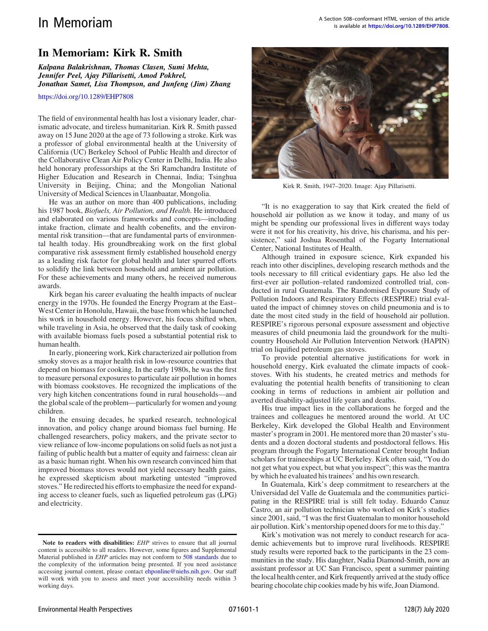## In Memoriam: Kirk R. Smith

Kalpana Balakrishnan, Thomas Clasen, Sumi Mehta, Jennifer Peel, Ajay Pillarisetti, Amod Pokhrel, Jonathan Samet, Lisa Thompson, and Junfeng (Jim) Zhang

<https://doi.org/10.1289/EHP7808>

The field of environmental health has lost a visionary leader, charismatic advocate, and tireless humanitarian. Kirk R. Smith passed away on 15 June 2020 at the age of 73 following a stroke. Kirk was a professor of global environmental health at the University of California (UC) Berkeley School of Public Health and director of the Collaborative Clean Air Policy Center in Delhi, India. He also held honorary professorships at the Sri Ramchandra Institute of Higher Education and Research in Chennai, India; Tsinghua University in Beijing, China; and the Mongolian National University of Medical Sciences in Ulaanbaatar, Mongolia.

He was an author on more than 400 publications, including his 1987 book, Biofuels, Air Pollution, and Health. He introduced and elaborated on various frameworks and concepts—including intake fraction, climate and health cobenefits, and the environmental risk transition—that are fundamental parts of environmental health today. His groundbreaking work on the first global comparative risk assessment firmly established household energy as a leading risk factor for global health and later spurred efforts to solidify the link between household and ambient air pollution. For these achievements and many others, he received numerous awards.

Kirk began his career evaluating the health impacts of nuclear energy in the 1970s. He founded the Energy Program at the East– West Center in Honolulu, Hawaii, the base from which he launched his work in household energy. However, his focus shifted when, while traveling in Asia, he observed that the daily task of cooking with available biomass fuels posed a substantial potential risk to human health.

In early, pioneering work, Kirk characterized air pollution from smoky stoves as a major health risk in low-resource countries that depend on biomass for cooking. In the early 1980s, he was the first to measure personal exposures to particulate air pollution in homes with biomass cookstoves. He recognized the implications of the very high kitchen concentrations found in rural households—and the global scale of the problem—particularly for women and young children.

In the ensuing decades, he sparked research, technological innovation, and policy change around biomass fuel burning. He challenged researchers, policy makers, and the private sector to view reliance of low-income populations on solid fuels as not just a failing of public health but a matter of equity and fairness: clean air as a basic human right. When his own research convinced him that improved biomass stoves would not yield necessary health gains, he expressed skepticism about marketing untested "improved stoves." He redirected his efforts to emphasize the need for expanding access to cleaner fuels, such as liquefied petroleum gas (LPG) and electricity.



Kirk R. Smith, 1947–2020. Image: Ajay Pillarisetti.

"It is no exaggeration to say that Kirk created the field of household air pollution as we know it today, and many of us might be spending our professional lives in different ways today were it not for his creativity, his drive, his charisma, and his persistence," said Joshua Rosenthal of the Fogarty International Center, National Institutes of Health.

Although trained in exposure science, Kirk expanded his reach into other disciplines, developing research methods and the tools necessary to fill critical evidentiary gaps. He also led the first-ever air pollution–related randomized controlled trial, conducted in rural Guatemala. The Randomised Exposure Study of Pollution Indoors and Respiratory Effects (RESPIRE) trial evaluated the impact of chimney stoves on child pneumonia and is to date the most cited study in the field of household air pollution. RESPIRE's rigorous personal exposure assessment and objective measures of child pneumonia laid the groundwork for the multicountry Household Air Pollution Intervention Network (HAPIN) trial on liquified petroleum gas stoves.

To provide potential alternative justifications for work in household energy, Kirk evaluated the climate impacts of cookstoves. With his students, he created metrics and methods for evaluating the potential health benefits of transitioning to clean cooking in terms of reductions in ambient air pollution and averted disability-adjusted life years and deaths.

His true impact lies in the collaborations he forged and the trainees and colleagues he mentored around the world. At UC Berkeley, Kirk developed the Global Health and Environment master's program in 2001. He mentored more than 20 master's students and a dozen doctoral students and postdoctoral fellows. His program through the Fogarty International Center brought Indian scholars for traineeships at UC Berkeley. Kirk often said, "You do not get what you expect, but what you inspect"; this was the mantra by which he evaluated his trainees' and his own research.

In Guatemala, Kirk's deep commitment to researchers at the Universidad del Valle de Guatemala and the communities participating in the RESPIRE trial is still felt today. Eduardo Canuz Castro, an air pollution technician who worked on Kirk's studies since 2001, said, "I was the first Guatemalan to monitor household air pollution. Kirk's mentorship opened doors for me to this day."

Kirk's motivation was not merely to conduct research for academic achievements but to improve rural livelihoods. RESPIRE study results were reported back to the participants in the 23 communities in the study. His daughter, Nadia Diamond-Smith, now an assistant professor at UC San Francisco, spent a summer painting the local health center, and Kirk frequently arrived at the study office bearing chocolate chip cookies made by his wife, Joan Diamond.

Note to readers with disabilities: EHP strives to ensure that all journal content is accessible to all readers. However, some figures and Supplemental Material published in EHP articles may not conform to [508 standards](http://ehp.niehs.nih.gov/accessibility/) due to the complexity of the information being presented. If you need assistance accessing journal content, please contact [ehponline@niehs.nih.gov.](mailto:ehponline@niehs.nih.gov) Our staff will work with you to assess and meet your accessibility needs within 3 working days.